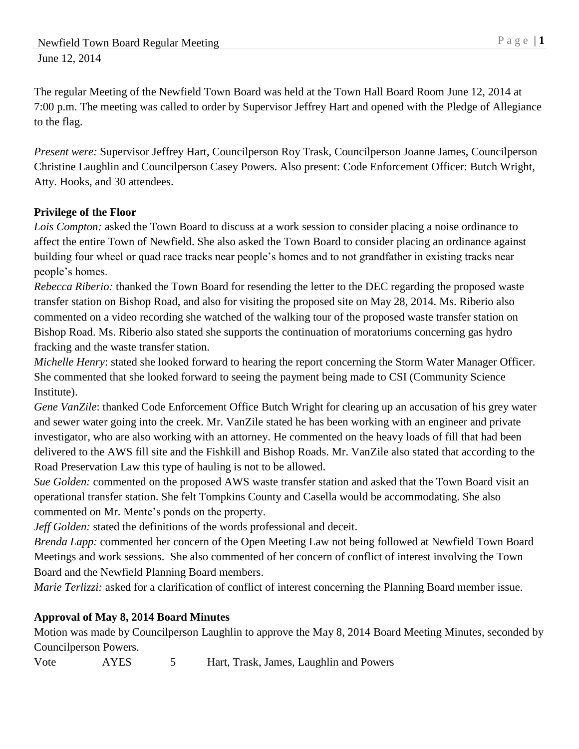The regular Meeting of the Newfield Town Board was held at the Town Hall Board Room June 12, 2014 at 7:00 p.m. The meeting was called to order by Supervisor Jeffrey Hart and opened with the Pledge of Allegiance to the flag.

*Present were:* Supervisor Jeffrey Hart, Councilperson Roy Trask, Councilperson Joanne James, Councilperson Christine Laughlin and Councilperson Casey Powers. Also present: Code Enforcement Officer: Butch Wright, Atty. Hooks, and 30 attendees.

# **Privilege of the Floor**

*Lois Compton:* asked the Town Board to discuss at a work session to consider placing a noise ordinance to affect the entire Town of Newfield. She also asked the Town Board to consider placing an ordinance against building four wheel or quad race tracks near people's homes and to not grandfather in existing tracks near people's homes.

*Rebecca Riberio:* thanked the Town Board for resending the letter to the DEC regarding the proposed waste transfer station on Bishop Road, and also for visiting the proposed site on May 28, 2014. Ms. Riberio also commented on a video recording she watched of the walking tour of the proposed waste transfer station on Bishop Road. Ms. Riberio also stated she supports the continuation of moratoriums concerning gas hydro fracking and the waste transfer station.

*Michelle Henry*: stated she looked forward to hearing the report concerning the Storm Water Manager Officer. She commented that she looked forward to seeing the payment being made to CSI (Community Science Institute).

*Gene VanZile*: thanked Code Enforcement Office Butch Wright for clearing up an accusation of his grey water and sewer water going into the creek. Mr. VanZile stated he has been working with an engineer and private investigator, who are also working with an attorney. He commented on the heavy loads of fill that had been delivered to the AWS fill site and the Fishkill and Bishop Roads. Mr. VanZile also stated that according to the Road Preservation Law this type of hauling is not to be allowed.

*Sue Golden:* commented on the proposed AWS waste transfer station and asked that the Town Board visit an operational transfer station. She felt Tompkins County and Casella would be accommodating. She also commented on Mr. Mente's ponds on the property.

*Jeff Golden:* stated the definitions of the words professional and deceit.

*Brenda Lapp:* commented her concern of the Open Meeting Law not being followed at Newfield Town Board Meetings and work sessions. She also commented of her concern of conflict of interest involving the Town Board and the Newfield Planning Board members.

*Marie Terlizzi:* asked for a clarification of conflict of interest concerning the Planning Board member issue.

# **Approval of May 8, 2014 Board Minutes**

Motion was made by Councilperson Laughlin to approve the May 8, 2014 Board Meeting Minutes, seconded by Councilperson Powers.

Vote AYES 5 Hart, Trask, James, Laughlin and Powers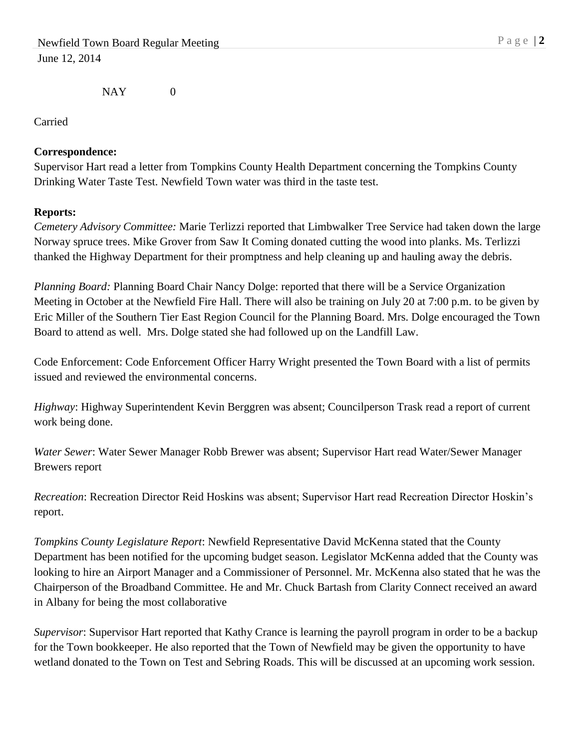NAY 0

Carried

### **Correspondence:**

Supervisor Hart read a letter from Tompkins County Health Department concerning the Tompkins County Drinking Water Taste Test. Newfield Town water was third in the taste test.

### **Reports:**

*Cemetery Advisory Committee:* Marie Terlizzi reported that Limbwalker Tree Service had taken down the large Norway spruce trees. Mike Grover from Saw It Coming donated cutting the wood into planks. Ms. Terlizzi thanked the Highway Department for their promptness and help cleaning up and hauling away the debris.

*Planning Board:* Planning Board Chair Nancy Dolge: reported that there will be a Service Organization Meeting in October at the Newfield Fire Hall. There will also be training on July 20 at 7:00 p.m. to be given by Eric Miller of the Southern Tier East Region Council for the Planning Board. Mrs. Dolge encouraged the Town Board to attend as well. Mrs. Dolge stated she had followed up on the Landfill Law.

Code Enforcement: Code Enforcement Officer Harry Wright presented the Town Board with a list of permits issued and reviewed the environmental concerns.

*Highway*: Highway Superintendent Kevin Berggren was absent; Councilperson Trask read a report of current work being done.

*Water Sewer*: Water Sewer Manager Robb Brewer was absent; Supervisor Hart read Water/Sewer Manager Brewers report

*Recreation*: Recreation Director Reid Hoskins was absent; Supervisor Hart read Recreation Director Hoskin's report.

*Tompkins County Legislature Report*: Newfield Representative David McKenna stated that the County Department has been notified for the upcoming budget season. Legislator McKenna added that the County was looking to hire an Airport Manager and a Commissioner of Personnel. Mr. McKenna also stated that he was the Chairperson of the Broadband Committee. He and Mr. Chuck Bartash from Clarity Connect received an award in Albany for being the most collaborative

*Supervisor*: Supervisor Hart reported that Kathy Crance is learning the payroll program in order to be a backup for the Town bookkeeper. He also reported that the Town of Newfield may be given the opportunity to have wetland donated to the Town on Test and Sebring Roads. This will be discussed at an upcoming work session.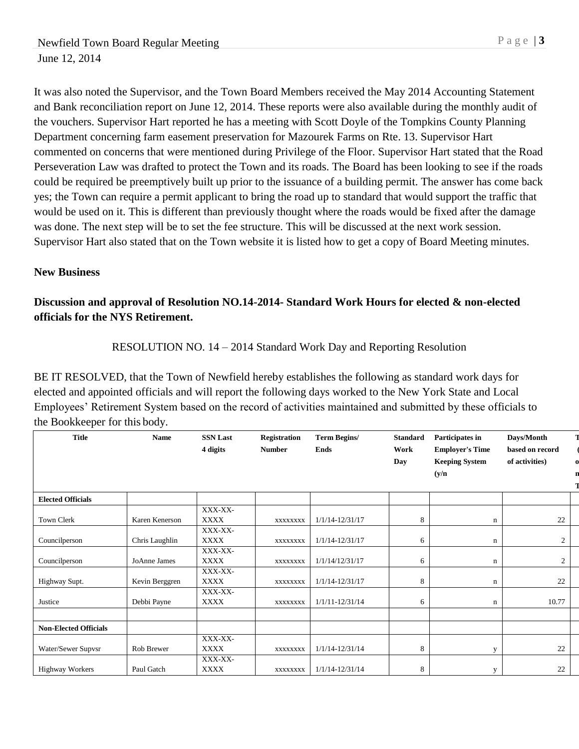It was also noted the Supervisor, and the Town Board Members received the May 2014 Accounting Statement and Bank reconciliation report on June 12, 2014. These reports were also available during the monthly audit of the vouchers. Supervisor Hart reported he has a meeting with Scott Doyle of the Tompkins County Planning Department concerning farm easement preservation for Mazourek Farms on Rte. 13. Supervisor Hart commented on concerns that were mentioned during Privilege of the Floor. Supervisor Hart stated that the Road Perseveration Law was drafted to protect the Town and its roads. The Board has been looking to see if the roads could be required be preemptively built up prior to the issuance of a building permit. The answer has come back yes; the Town can require a permit applicant to bring the road up to standard that would support the traffic that would be used on it. This is different than previously thought where the roads would be fixed after the damage was done. The next step will be to set the fee structure. This will be discussed at the next work session. Supervisor Hart also stated that on the Town website it is listed how to get a copy of Board Meeting minutes.

#### **New Business**

## **Discussion and approval of Resolution NO.14-2014- Standard Work Hours for elected & non-elected officials for the NYS Retirement.**

### RESOLUTION NO. 14 – 2014 Standard Work Day and Reporting Resolution

BE IT RESOLVED, that the Town of Newfield hereby establishes the following as standard work days for elected and appointed officials and will report the following days worked to the New York State and Local Employees' Retirement System based on the record of activities maintained and submitted by these officials to the Bookkeeper for this body.

| <b>Title</b>                 | <b>Name</b>    | <b>SSN Last</b><br>4 digits | <b>Registration</b><br><b>Number</b> | Term Begins/<br>Ends | <b>Standard</b><br>Work<br>Day | Participates in<br><b>Employer's Time</b><br><b>Keeping System</b><br>(y/n) | Days/Month<br>based on record<br>of activities) |  |
|------------------------------|----------------|-----------------------------|--------------------------------------|----------------------|--------------------------------|-----------------------------------------------------------------------------|-------------------------------------------------|--|
| <b>Elected Officials</b>     |                |                             |                                      |                      |                                |                                                                             |                                                 |  |
| Town Clerk                   | Karen Kenerson | XXX-XX-<br><b>XXXX</b>      | XXXXXXXX                             | $1/1/14 - 12/31/17$  | 8                              | $\mathbf n$                                                                 | 22                                              |  |
| Councilperson                | Chris Laughlin | XXX-XX-<br><b>XXXX</b>      | XXXXXXXX                             | $1/1/14 - 12/31/17$  | 6                              | $\mathbf n$                                                                 | 2                                               |  |
| Councilperson                | JoAnne James   | XXX-XX-<br><b>XXXX</b>      | XXXXXXXX                             | 1/1/14/12/31/17      | 6                              | $\mathbf n$                                                                 | $\mathfrak{2}$                                  |  |
| Highway Supt.                | Kevin Berggren | XXX-XX-<br><b>XXXX</b>      | XXXXXXXX                             | $1/1/14 - 12/31/17$  | 8                              | $\mathbf n$                                                                 | 22                                              |  |
| Justice                      | Debbi Payne    | XXX-XX-<br><b>XXXX</b>      | XXXXXXXX                             | $1/1/11 - 12/31/14$  | 6                              | n                                                                           | 10.77                                           |  |
|                              |                |                             |                                      |                      |                                |                                                                             |                                                 |  |
| <b>Non-Elected Officials</b> |                | XXX-XX-                     |                                      |                      |                                |                                                                             |                                                 |  |
| Water/Sewer Supvsr           | Rob Brewer     | <b>XXXX</b>                 | XXXXXXXX                             | $1/1/14 - 12/31/14$  | 8                              | V                                                                           | 22                                              |  |
| <b>Highway Workers</b>       | Paul Gatch     | XXX-XX-<br><b>XXXX</b>      | XXXXXXXX                             | $1/1/14 - 12/31/14$  | 8                              | y                                                                           | 22                                              |  |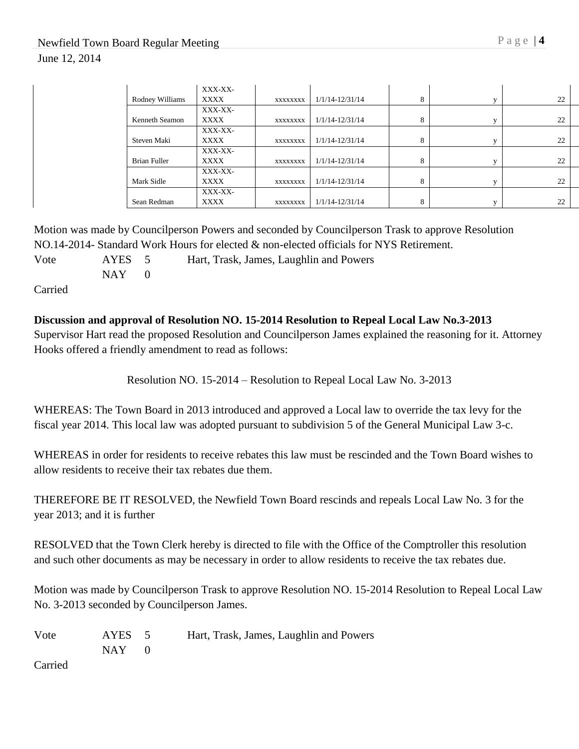|                     | XXX-XX-     |          |                     |   |    |
|---------------------|-------------|----------|---------------------|---|----|
| Rodney Williams     | <b>XXXX</b> | XXXXXXXX | $1/1/14 - 12/31/14$ | 8 | 22 |
|                     | XXX-XX-     |          |                     |   |    |
| Kenneth Seamon      | <b>XXXX</b> | XXXXXXXX | $1/1/14 - 12/31/14$ | 8 | 22 |
|                     | XXX-XX-     |          |                     |   |    |
| Steven Maki         | <b>XXXX</b> | XXXXXXXX | $1/1/14 - 12/31/14$ | 8 | 22 |
|                     | XXX-XX-     |          |                     |   |    |
| <b>Brian Fuller</b> | <b>XXXX</b> | XXXXXXXX | $1/1/14 - 12/31/14$ | 8 | 22 |
|                     | XXX-XX-     |          |                     |   |    |
| Mark Sidle          | <b>XXXX</b> | XXXXXXXX | $1/1/14 - 12/31/14$ | 8 | 22 |
|                     | XXX-XX-     |          |                     |   |    |
| Sean Redman         | <b>XXXX</b> | XXXXXXXX | $1/1/14 - 12/31/14$ | 8 | 22 |

Motion was made by Councilperson Powers and seconded by Councilperson Trask to approve Resolution NO.14-2014- Standard Work Hours for elected & non-elected officials for NYS Retirement. Vote AYES 5 Hart, Trask, James, Laughlin and Powers  $NAY$  0

Carried

#### **Discussion and approval of Resolution NO. 15-2014 Resolution to Repeal Local Law No.3-2013**

Supervisor Hart read the proposed Resolution and Councilperson James explained the reasoning for it. Attorney Hooks offered a friendly amendment to read as follows:

Resolution NO. 15-2014 – Resolution to Repeal Local Law No. 3-2013

WHEREAS: The Town Board in 2013 introduced and approved a Local law to override the tax levy for the fiscal year 2014. This local law was adopted pursuant to subdivision 5 of the General Municipal Law 3-c.

WHEREAS in order for residents to receive rebates this law must be rescinded and the Town Board wishes to allow residents to receive their tax rebates due them.

THEREFORE BE IT RESOLVED, the Newfield Town Board rescinds and repeals Local Law No. 3 for the year 2013; and it is further

RESOLVED that the Town Clerk hereby is directed to file with the Office of the Comptroller this resolution and such other documents as may be necessary in order to allow residents to receive the tax rebates due.

Motion was made by Councilperson Trask to approve Resolution NO. 15-2014 Resolution to Repeal Local Law No. 3-2013 seconded by Councilperson James.

| Vote | AYES 5  |  | Hart, Trask, James, Laughlin and Powers |
|------|---------|--|-----------------------------------------|
|      | $NAY$ 0 |  |                                         |

Carried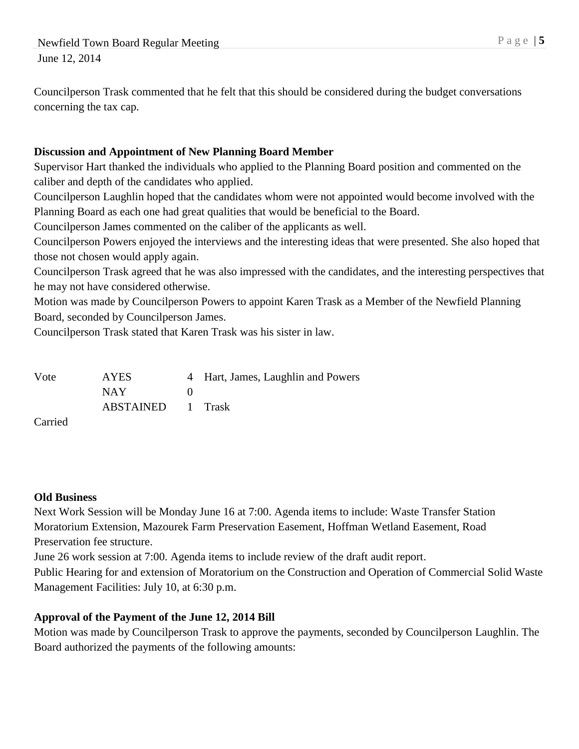Councilperson Trask commented that he felt that this should be considered during the budget conversations concerning the tax cap.

### **Discussion and Appointment of New Planning Board Member**

Supervisor Hart thanked the individuals who applied to the Planning Board position and commented on the caliber and depth of the candidates who applied.

Councilperson Laughlin hoped that the candidates whom were not appointed would become involved with the Planning Board as each one had great qualities that would be beneficial to the Board.

Councilperson James commented on the caliber of the applicants as well.

Councilperson Powers enjoyed the interviews and the interesting ideas that were presented. She also hoped that those not chosen would apply again.

Councilperson Trask agreed that he was also impressed with the candidates, and the interesting perspectives that he may not have considered otherwise.

Motion was made by Councilperson Powers to appoint Karen Trask as a Member of the Newfield Planning Board, seconded by Councilperson James.

Councilperson Trask stated that Karen Trask was his sister in law.

| Vote   | <b>AYES</b>       | 4 Hart, James, Laughlin and Powers |
|--------|-------------------|------------------------------------|
|        | NAY.              |                                    |
|        | ABSTAINED 1 Trask |                                    |
| $\sim$ |                   |                                    |

Carried

### **Old Business**

Next Work Session will be Monday June 16 at 7:00. Agenda items to include: Waste Transfer Station Moratorium Extension, Mazourek Farm Preservation Easement, Hoffman Wetland Easement, Road Preservation fee structure.

June 26 work session at 7:00. Agenda items to include review of the draft audit report.

Public Hearing for and extension of Moratorium on the Construction and Operation of Commercial Solid Waste Management Facilities: July 10, at 6:30 p.m.

## **Approval of the Payment of the June 12, 2014 Bill**

Motion was made by Councilperson Trask to approve the payments, seconded by Councilperson Laughlin. The Board authorized the payments of the following amounts: